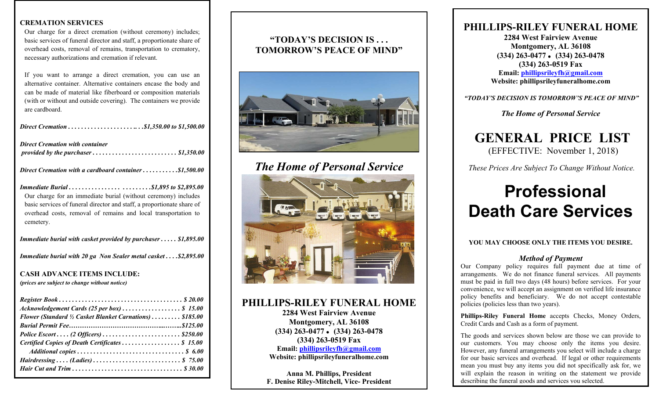#### **CREMATION SERVICES**

Our charge for a direct cremation (without ceremony) includes; basic services of funeral director and staff, a proportionate share of overhead costs, removal of remains, transportation to crematory, necessary authorizations and cremation if relevant.

If you want to arrange a direct cremation, you can use an alternative container. Alternative containers encase the body and can be made of material like fiberboard or composition materials (with or without and outside covering). The containers we provide are cardboard.

| <b>Direct Cremation with container</b>                                                                                                                                                                                  |
|-------------------------------------------------------------------------------------------------------------------------------------------------------------------------------------------------------------------------|
| Direct Cremation with a cardboard container\$1,500.00                                                                                                                                                                   |
| Our charge for an immediate burial (without ceremony) includes<br>basic services of funeral director and staff, a proportionate share of<br>overhead costs, removal of remains and local transportation to<br>cemetery. |

*Immediate burial with casket provided by purchaser . . . . . \$1,895.00*

*Immediate burial with 20 ga Non Sealer metal casket . . . .\$2,895.00*

## **CASH ADVANCE ITEMS INCLUDE:**

*(prices are subject to change without notice)*

| Acknowledgement Cards (25 per box)  \$ 15.00                                      |  |
|-----------------------------------------------------------------------------------|--|
| Flower (Standard <sup>1</sup> / <sub>2</sub> Casket Blanket Carnations)  \$185.00 |  |
|                                                                                   |  |
|                                                                                   |  |
| Certified Copies of Death Certificates  \$ 15.00                                  |  |
|                                                                                   |  |
|                                                                                   |  |
|                                                                                   |  |

### **"TODAY'S DECISION IS . . . TOMORROW'S PEACE OF MIND"**



# *The Home of Personal Service*



#### **PHILLIPS-RILEY FUNERAL HOME**

**2284 West Fairview Avenue Montgomery, AL 36108 (334) 263-0477 (334) 263-0478 (334) 263-0519 Fax Email: [phillipsrileyfh@gmail.com](mailto:phillipsrileyfh@gmail.com) Website: phillipsrileyfuneralhome.com**

**Anna M. Phillips, President F. Denise Riley-Mitchell, Vice- President**

# **PHILLIPS-RILEY FUNERAL HOME**

**2284 West Fairview Avenue Montgomery, AL 36108 (334) 263-0477 (334) 263-0478 (334) 263-0519 Fax Email: [phillipsrileyfh@gmail.com](mailto:phillipsrileyfh@gmail.com) Website: phillipsrileyfuneralhome.com**

*"TODAY'S DECISION IS TOMORROW'S PEACE OF MIND"*

*The Home of Personal Service*

# **GENERAL PRICE LIST**(EFFECTIVE: November 1, 2018)

*These Prices Are Subject To Change Without Notice.*

# **Professional Death Care Services**

#### **YOU MAY CHOOSE ONLY THE ITEMS YOU DESIRE.**

#### *Method of Payment*

Our Company policy requires full payment due at time of arrangements. We do not finance funeral services. All payments must be paid in full two days (48 hours) before services. For your convenience, we will accept an assignment on verified life insurance policy benefits and beneficiary. We do not accept contestable policies (policies less than two years).

**Phillips-Riley Funeral Home** accepts Checks, Money Orders, Credit Cards and Cash as a form of payment.

The goods and services shown below are those we can provide to our customers. You may choose only the items you desire. However, any funeral arrangements you select will include a charge for our basic services and overhead. If legal or other requirements mean you must buy any items you did not specifically ask for, we will explain the reason in writing on the statement we provide describing the funeral goods and services you selected.